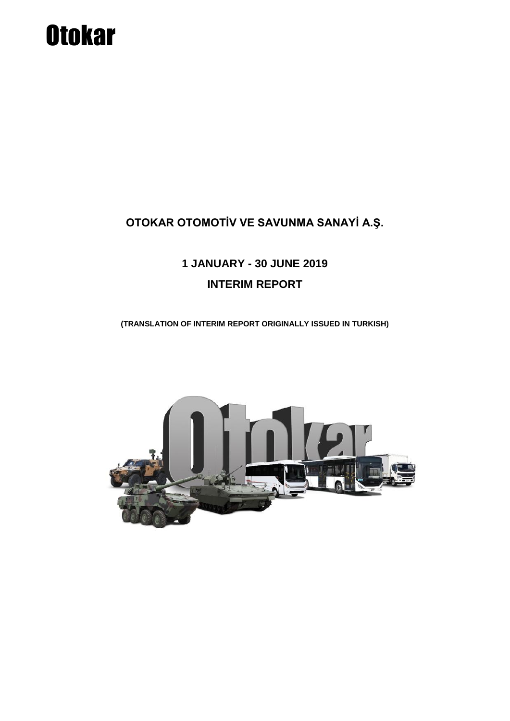# **Otokar**

### **OTOKAR OTOMOTİV VE SAVUNMA SANAYİ A.Ş.**

## **1 JANUARY - 30 JUNE 2019 INTERIM REPORT**

**(TRANSLATION OF INTERIM REPORT ORIGINALLY ISSUED IN TURKISH)**

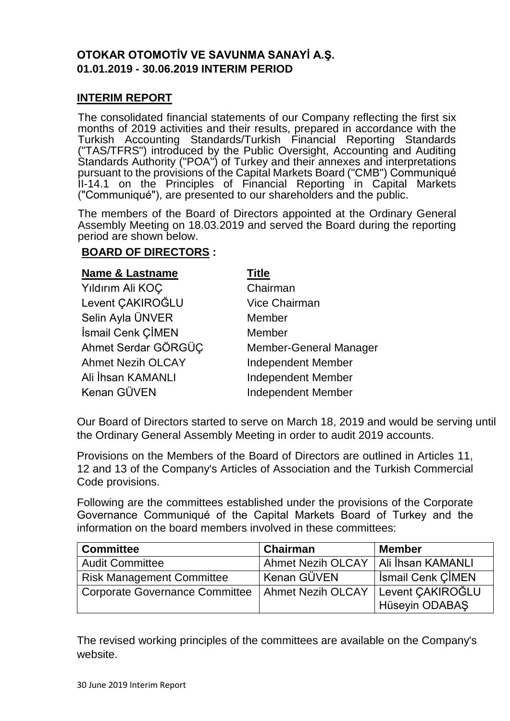#### **OTOKAR OTOMOTİV VE SAVUNMA SANAYİ A.Ş. 01.01.2019 - 30.06.2019 INTERIM PERIOD**

#### **INTERIM REPORT**

The consolidated financial statements of our Company reflecting the first six months of 2019 activities and their results, prepared in accordance with the Turkish Accounting Standards/Turkish Financial Reporting Standards ("TAS/TFRS") introduced by the Public Oversight, Accounting and Auditing Standards Authority ("POA") of Turkey and their annexes and interpretations pursuant to the provisions of the Capital Markets Board ("CMB") Communiqué II-14.1 on the Principles of Financial Reporting in Capital Markets ("Communiqué"), are presented to our shareholders and the public.

The members of the Board of Directors appointed at the Ordinary General Assembly Meeting on 18.03.2019 and served the Board during the reporting period are shown below.

#### **BOARD OF DIRECTORS :**

#### **Name & Lastname Title**

| Yıldırım Ali KOÇ         | Chairman                      |
|--------------------------|-------------------------------|
| Levent CAKIROĞLU         | <b>Vice Chairman</b>          |
| Selin Ayla ÜNVER         | Member                        |
| İsmail Cenk ÇİMEN        | Member                        |
| Ahmet Serdar GÖRGÜC      | <b>Member-General Manager</b> |
| <b>Ahmet Nezih OLCAY</b> | <b>Independent Member</b>     |
| Ali İhsan KAMANLI        | <b>Independent Member</b>     |
| Kenan GÜVEN              | <b>Independent Member</b>     |

Our Board of Directors started to serve on March 18, 2019 and would be serving until the Ordinary General Assembly Meeting in order to audit 2019 accounts.

Provisions on the Members of the Board of Directors are outlined in Articles 11, 12 and 13 of the Company's Articles of Association and the Turkish Commercial Code provisions.

Following are the committees established under the provisions of the Corporate Governance Communiqué of the Capital Markets Board of Turkey and the information on the board members involved in these committees:

| <b>Committee</b>                      | Chairman                 | <b>Member</b>            |
|---------------------------------------|--------------------------|--------------------------|
| <b>Audit Committee</b>                | <b>Ahmet Nezih OLCAY</b> | Ali İhsan KAMANLI        |
| <b>Risk Management Committee</b>      | ' Kenan GÜVEN            | <b>Ismail Cenk CIMEN</b> |
| <b>Corporate Governance Committee</b> | Ahmet Nezih OLCAY        | Levent CAKIROĞLU         |
|                                       |                          | Hüseyin ODABAŞ           |

The revised working principles of the committees are available on the Company's website.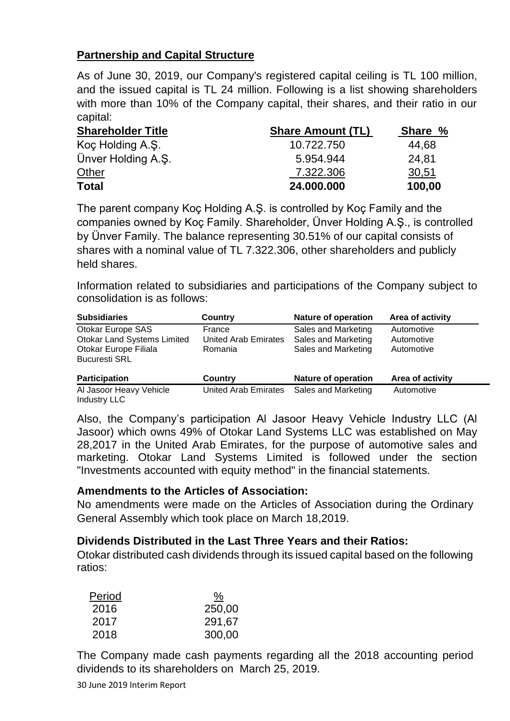#### **Partnership and Capital Structure**

As of June 30, 2019, our Company's registered capital ceiling is TL 100 million, and the issued capital is TL 24 million. Following is a list showing shareholders with more than 10% of the Company capital, their shares, and their ratio in our capital:

| <b>Shareholder Title</b> | <b>Share Amount (TL)</b> | Share % |
|--------------------------|--------------------------|---------|
| Koç Holding A.Ş.         | 10.722.750               | 44,68   |
| Ünver Holding A.S.       | 5.954.944                | 24.81   |
| Other                    | 7.322.306                | 30,51   |
| <b>Total</b>             | 24.000.000               | 100,00  |

The parent company Koç Holding A.Ş. is controlled by Koç Family and the companies owned by Koç Family. Shareholder, Ünver Holding A.Ş., is controlled by Ünver Family. The balance representing 30.51% of our capital consists of shares with a nominal value of TL 7.322.306, other shareholders and publicly held shares.

Information related to subsidiaries and participations of the Company subject to consolidation is as follows:

| <b>Subsidiaries</b>                            | Country                     | <b>Nature of operation</b> | Area of activity |
|------------------------------------------------|-----------------------------|----------------------------|------------------|
| Otokar Europe SAS                              | France                      | Sales and Marketing        | Automotive       |
| <b>Otokar Land Systems Limited</b>             | United Arab Emirates        | Sales and Marketing        | Automotive       |
| Otokar Europe Filiala                          | Romania                     | Sales and Marketing        | Automotive       |
| <b>Bucuresti SRL</b>                           |                             |                            |                  |
| <b>Participation</b>                           | Country                     | <b>Nature of operation</b> | Area of activity |
| Al Jasoor Heavy Vehicle<br><b>Industry LLC</b> | <b>United Arab Emirates</b> | Sales and Marketing        | Automotive       |

Also, the Company's participation Al Jasoor Heavy Vehicle Industry LLC (Al Jasoor) which owns 49% of Otokar Land Systems LLC was established on May 28,2017 in the United Arab Emirates, for the purpose of automotive sales and marketing. Otokar Land Systems Limited is followed under the section "Investments accounted with equity method" in the financial statements.

#### **Amendments to the Articles of Association:**

No amendments were made on the Articles of Association during the Ordinary General Assembly which took place on March 18,2019.

#### **Dividends Distributed in the Last Three Years and their Ratios:**

Otokar distributed cash dividends through its issued capital based on the following ratios:

| Period | <u>%</u> |
|--------|----------|
| 2016   | 250,00   |
| 2017   | 291,67   |
| 2018   | 300,00   |

The Company made cash payments regarding all the 2018 accounting period dividends to its shareholders on March 25, 2019.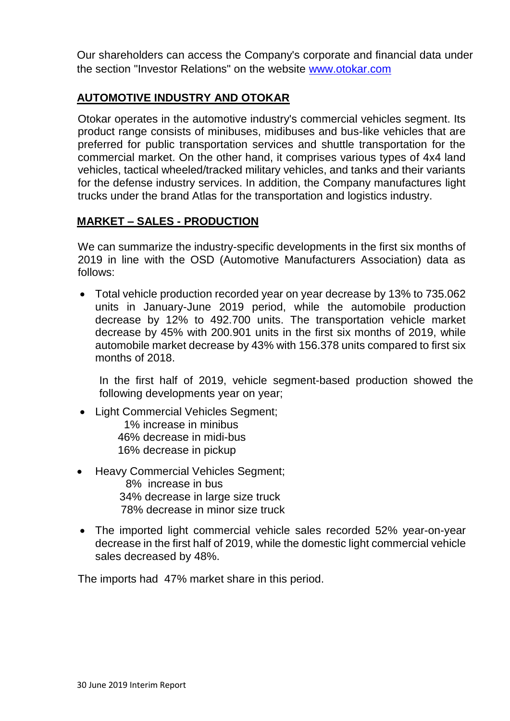Our shareholders can access the Company's corporate and financial data under the section "Investor Relations" on the website [www.otokar.com](http://www.otokar.com/)

#### **AUTOMOTIVE INDUSTRY AND OTOKAR**

Otokar operates in the automotive industry's commercial vehicles segment. Its product range consists of minibuses, midibuses and bus-like vehicles that are preferred for public transportation services and shuttle transportation for the commercial market. On the other hand, it comprises various types of 4x4 land vehicles, tactical wheeled/tracked military vehicles, and tanks and their variants for the defense industry services. In addition, the Company manufactures light trucks under the brand Atlas for the transportation and logistics industry.

#### **MARKET – SALES - PRODUCTION**

We can summarize the industry-specific developments in the first six months of 2019 in line with the OSD (Automotive Manufacturers Association) data as follows:

 Total vehicle production recorded year on year decrease by 13% to 735.062 units in January-June 2019 period, while the automobile production decrease by 12% to 492.700 units. The transportation vehicle market decrease by 45% with 200.901 units in the first six months of 2019, while automobile market decrease by 43% with 156.378 units compared to first six months of 2018.

In the first half of 2019, vehicle segment-based production showed the following developments year on year;

- Light Commercial Vehicles Segment; 1% increase in minibus 46% decrease in midi-bus 16% decrease in pickup
- Heavy Commercial Vehicles Segment;
	- 8% increase in bus 34% decrease in large size truck 78% decrease in minor size truck
- The imported light commercial vehicle sales recorded 52% year-on-year decrease in the first half of 2019, while the domestic light commercial vehicle sales decreased by 48%.

The imports had 47% market share in this period.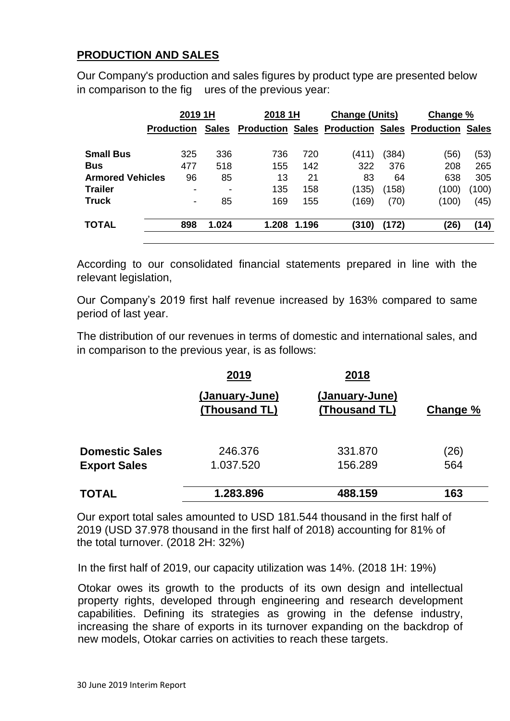#### **PRODUCTION AND SALES**

Our Company's production and sales figures by product type are presented below in comparison to the fig ures of the previous year:

| 2019 1H                 |                   | 2018 1H      |       | <b>Change (Units)</b> |       | Change % |                                                           |       |
|-------------------------|-------------------|--------------|-------|-----------------------|-------|----------|-----------------------------------------------------------|-------|
|                         | <b>Production</b> | <b>Sales</b> |       |                       |       |          | <b>Production Sales Production Sales Production Sales</b> |       |
| <b>Small Bus</b>        | 325               | 336          | 736   | 720                   | (411) | (384)    | (56)                                                      | (53)  |
| <b>Bus</b>              | 477               | 518          | 155   | 142                   | 322   | 376      | 208                                                       | 265   |
| <b>Armored Vehicles</b> | 96                | 85           | 13    | 21                    | 83    | 64       | 638                                                       | 305   |
| <b>Trailer</b>          | $\,$              | -            | 135   | 158                   | (135) | (158)    | (100)                                                     | (100) |
| <b>Truck</b>            | $\blacksquare$    | 85           | 169   | 155                   | (169) | (70)     | (100)                                                     | (45)  |
| <b>TOTAL</b>            | 898               | 1.024        | 1.208 | 1.196                 | (310) | (172)    | (26)                                                      | (14)  |

According to our consolidated financial statements prepared in line with the relevant legislation,

Our Company's 2019 first half revenue increased by 163% compared to same period of last year.

The distribution of our revenues in terms of domestic and international sales, and in comparison to the previous year, is as follows:

|                       | 2019                            | 2018                            |          |
|-----------------------|---------------------------------|---------------------------------|----------|
|                       | (January-June)<br>(Thousand TL) | (January-June)<br>(Thousand TL) | Change % |
| <b>Domestic Sales</b> | 246.376                         | 331,870                         | (26)     |
| <b>Export Sales</b>   | 1.037.520                       | 156.289                         | 564      |
| <b>TOTAL</b>          | 1.283.896                       | 488.159                         | 163      |

Our export total sales amounted to USD 181.544 thousand in the first half of 2019 (USD 37.978 thousand in the first half of 2018) accounting for 81% of the total turnover. (2018 2H: 32%)

In the first half of 2019, our capacity utilization was 14%. (2018 1H: 19%)

Otokar owes its growth to the products of its own design and intellectual property rights, developed through engineering and research development capabilities. Defining its strategies as growing in the defense industry, increasing the share of exports in its turnover expanding on the backdrop of new models, Otokar carries on activities to reach these targets.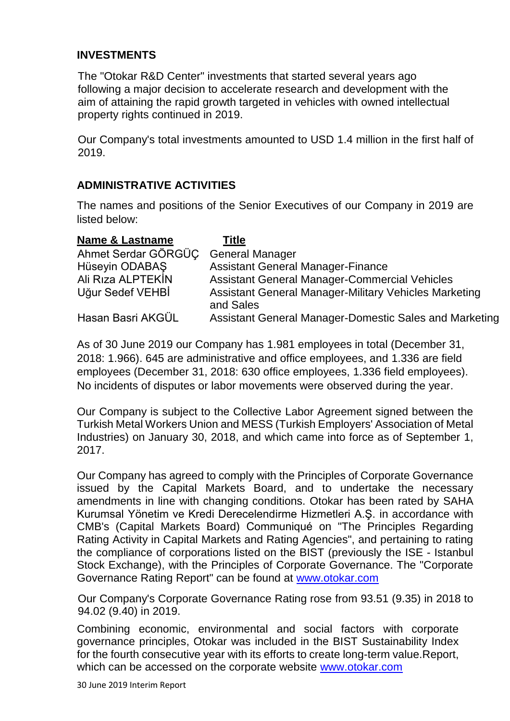#### **INVESTMENTS**

The "Otokar R&D Center" investments that started several years ago following a major decision to accelerate research and development with the aim of attaining the rapid growth targeted in vehicles with owned intellectual property rights continued in 2019.

Our Company's total investments amounted to USD 1.4 million in the first half of 2019.

#### **ADMINISTRATIVE ACTIVITIES**

The names and positions of the Senior Executives of our Company in 2019 are listed below:

| <b>Name &amp; Lastname</b> | Title                                                                     |
|----------------------------|---------------------------------------------------------------------------|
| Ahmet Serdar GÖRGÜC        | <b>General Manager</b>                                                    |
| Hüseyin ODABAŞ             | <b>Assistant General Manager-Finance</b>                                  |
| Ali Riza ALPTEKIN          | <b>Assistant General Manager-Commercial Vehicles</b>                      |
| Uğur Sedef VEHBİ           | <b>Assistant General Manager-Military Vehicles Marketing</b><br>and Sales |
| Hasan Basri AKGÜL          | Assistant General Manager-Domestic Sales and Marketing                    |

As of 30 June 2019 our Company has 1.981 employees in total (December 31, 2018: 1.966). 645 are administrative and office employees, and 1.336 are field employees (December 31, 2018: 630 office employees, 1.336 field employees). No incidents of disputes or labor movements were observed during the year.

Our Company is subject to the Collective Labor Agreement signed between the Turkish Metal Workers Union and MESS (Turkish Employers' Association of Metal Industries) on January 30, 2018, and which came into force as of September 1, 2017.

Our Company has agreed to comply with the Principles of Corporate Governance issued by the Capital Markets Board, and to undertake the necessary amendments in line with changing conditions. Otokar has been rated by SAHA Kurumsal Yönetim ve Kredi Derecelendirme Hizmetleri A.Ş. in accordance with CMB's (Capital Markets Board) Communiqué on "The Principles Regarding Rating Activity in Capital Markets and Rating Agencies", and pertaining to rating the compliance of corporations listed on the BIST (previously the ISE - Istanbul Stock Exchange), with the Principles of Corporate Governance. The "Corporate Governance Rating Report" can be found at [www.otokar.com](http://www.otokar.com/)

Our Company's Corporate Governance Rating rose from 93.51 (9.35) in 2018 to 94.02 (9.40) in 2019.

Combining economic, environmental and social factors with corporate governance principles, Otokar was included in the BIST Sustainability Index for the fourth consecutive year with its efforts to create long-term value.Report, which can be accessed on the corporate website [www.otokar.com](http://www.otokar.com/)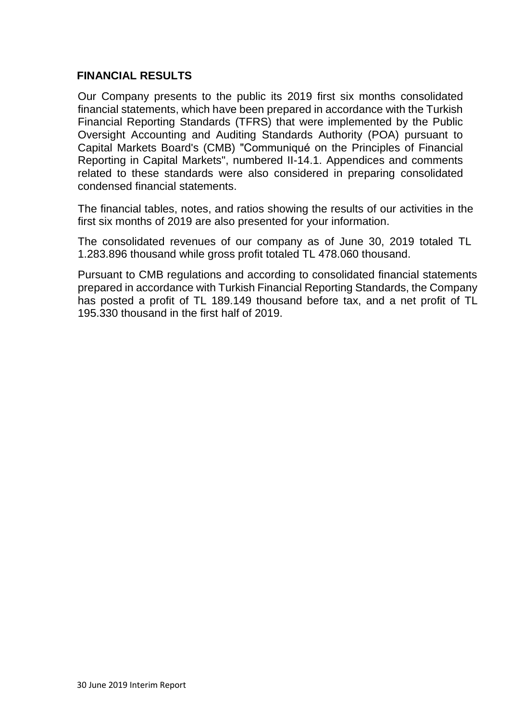#### **FINANCIAL RESULTS**

Our Company presents to the public its 2019 first six months consolidated financial statements, which have been prepared in accordance with the Turkish Financial Reporting Standards (TFRS) that were implemented by the Public Oversight Accounting and Auditing Standards Authority (POA) pursuant to Capital Markets Board's (CMB) "Communiqué on the Principles of Financial Reporting in Capital Markets", numbered II-14.1. Appendices and comments related to these standards were also considered in preparing consolidated condensed financial statements.

The financial tables, notes, and ratios showing the results of our activities in the first six months of 2019 are also presented for your information.

The consolidated revenues of our company as of June 30, 2019 totaled TL 1.283.896 thousand while gross profit totaled TL 478.060 thousand.

Pursuant to CMB regulations and according to consolidated financial statements prepared in accordance with Turkish Financial Reporting Standards, the Company has posted a profit of TL 189.149 thousand before tax, and a net profit of TL 195.330 thousand in the first half of 2019.